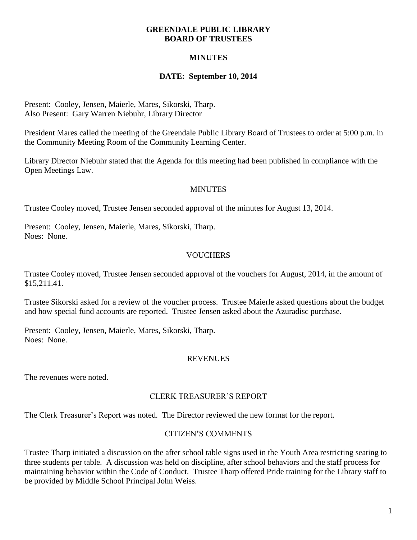#### **GREENDALE PUBLIC LIBRARY BOARD OF TRUSTEES**

# **MINUTES**

## **DATE: September 10, 2014**

Present: Cooley, Jensen, Maierle, Mares, Sikorski, Tharp. Also Present: Gary Warren Niebuhr, Library Director

President Mares called the meeting of the Greendale Public Library Board of Trustees to order at 5:00 p.m. in the Community Meeting Room of the Community Learning Center.

Library Director Niebuhr stated that the Agenda for this meeting had been published in compliance with the Open Meetings Law.

### **MINUTES**

Trustee Cooley moved, Trustee Jensen seconded approval of the minutes for August 13, 2014.

Present: Cooley, Jensen, Maierle, Mares, Sikorski, Tharp. Noes: None.

# **VOUCHERS**

Trustee Cooley moved, Trustee Jensen seconded approval of the vouchers for August, 2014, in the amount of \$15,211.41.

Trustee Sikorski asked for a review of the voucher process. Trustee Maierle asked questions about the budget and how special fund accounts are reported. Trustee Jensen asked about the Azuradisc purchase.

Present: Cooley, Jensen, Maierle, Mares, Sikorski, Tharp. Noes: None.

#### REVENUES

The revenues were noted.

## CLERK TREASURER'S REPORT

The Clerk Treasurer's Report was noted. The Director reviewed the new format for the report.

## CITIZEN'S COMMENTS

Trustee Tharp initiated a discussion on the after school table signs used in the Youth Area restricting seating to three students per table. A discussion was held on discipline, after school behaviors and the staff process for maintaining behavior within the Code of Conduct. Trustee Tharp offered Pride training for the Library staff to be provided by Middle School Principal John Weiss.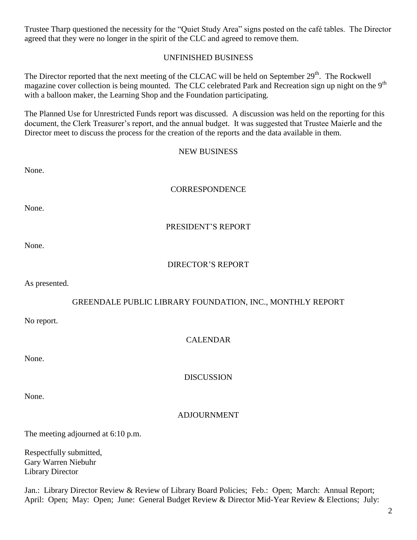Trustee Tharp questioned the necessity for the "Quiet Study Area" signs posted on the café tables. The Director agreed that they were no longer in the spirit of the CLC and agreed to remove them.

### UNFINISHED BUSINESS

The Director reported that the next meeting of the CLCAC will be held on September  $29<sup>th</sup>$ . The Rockwell magazine cover collection is being mounted. The CLC celebrated Park and Recreation sign up night on the 9<sup>th</sup> with a balloon maker, the Learning Shop and the Foundation participating.

The Planned Use for Unrestricted Funds report was discussed. A discussion was held on the reporting for this document, the Clerk Treasurer's report, and the annual budget. It was suggested that Trustee Maierle and the Director meet to discuss the process for the creation of the reports and the data available in them.

#### NEW BUSINESS

### **CORRESPONDENCE**

None.

None.

### PRESIDENT'S REPORT

None.

## DIRECTOR'S REPORT

As presented.

## GREENDALE PUBLIC LIBRARY FOUNDATION, INC., MONTHLY REPORT

No report.

## CALENDAR

None.

**DISCUSSION** 

None.

## ADJOURNMENT

The meeting adjourned at 6:10 p.m.

Respectfully submitted, Gary Warren Niebuhr Library Director

Jan.: Library Director Review & Review of Library Board Policies; Feb.: Open; March: Annual Report; April: Open; May: Open; June: General Budget Review & Director Mid-Year Review & Elections; July: